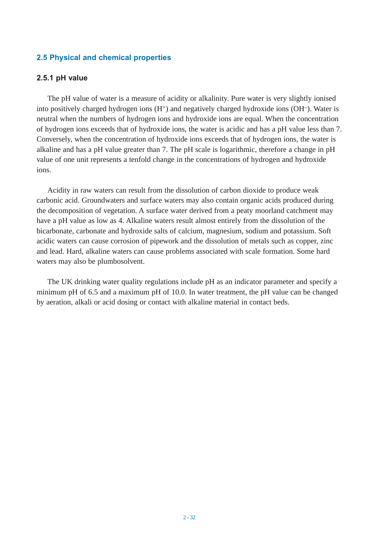# **2.5 Physical and chemical properties**

### **2.5.1 pH value**

The pH value of water is a measure of acidity or alkalinity. Pure water is very slightly ionised into positively charged hydrogen ions  $(H<sup>+</sup>)$  and negatively charged hydroxide ions  $(OH<sup>-</sup>)$ . Water is neutral when the numbers of hydrogen ions and hydroxide ions are equal. When the concentration of hydrogen ions exceeds that of hydroxide ions, the water is acidic and has a pH value less than 7. Conversely, when the concentration of hydroxide ions exceeds that of hydrogen ions, the water is alkaline and has a pH value greater than 7. The pH scale is logarithmic, therefore a change in pH value of one unit represents a tenfold change in the concentrations of hydrogen and hydroxide ions.

Acidity in raw waters can result from the dissolution of carbon dioxide to produce weak carbonic acid. Groundwaters and surface waters may also contain organic acids produced during the decomposition of vegetation. A surface water derived from a peaty moorland catchment may have a pH value as low as 4. Alkaline waters result almost entirely from the dissolution of the bicarbonate, carbonate and hydroxide salts of calcium, magnesium, sodium and potassium. Soft acidic waters can cause corrosion of pipework and the dissolution of metals such as copper, zinc and lead. Hard, alkaline waters can cause problems associated with scale formation. Some hard waters may also be plumbosolvent.

The UK drinking water quality regulations include pH as an indicator parameter and specify a minimum pH of 6.5 and a maximum pH of 10.0. In water treatment, the pH value can be changed by aeration, alkali or acid dosing or contact with alkaline material in contact beds.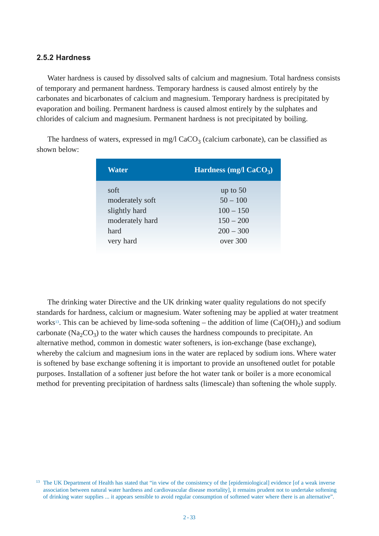#### **2.5.2 Hardness**

Water hardness is caused by dissolved salts of calcium and magnesium. Total hardness consists of temporary and permanent hardness. Temporary hardness is caused almost entirely by the carbonates and bicarbonates of calcium and magnesium. Temporary hardness is precipitated by evaporation and boiling. Permanent hardness is caused almost entirely by the sulphates and chlorides of calcium and magnesium. Permanent hardness is not precipitated by boiling.

The hardness of waters, expressed in mg/l  $CaCO<sub>3</sub>$  (calcium carbonate), can be classified as shown below:

| Water           | Hardness (mg/l $CaCO3$ ) |
|-----------------|--------------------------|
| soft            | up to $50$               |
| moderately soft | $50 - 100$               |
| slightly hard   | $100 - 150$              |
| moderately hard | $150 - 200$              |
| hard            | $200 - 300$              |
| very hard       | over 300                 |
|                 |                          |

The drinking water Directive and the UK drinking water quality regulations do not specify standards for hardness, calcium or magnesium. Water softening may be applied at water treatment works<sup>13</sup>. This can be achieved by lime-soda softening – the addition of lime  $(Ca(OH)<sub>2</sub>)$  and sodium carbonate ( $Na_2CO_3$ ) to the water which causes the hardness compounds to precipitate. An alternative method, common in domestic water softeners, is ion-exchange (base exchange), whereby the calcium and magnesium ions in the water are replaced by sodium ions. Where water is softened by base exchange softening it is important to provide an unsoftened outlet for potable purposes. Installation of a softener just before the hot water tank or boiler is a more economical method for preventing precipitation of hardness salts (limescale) than softening the whole supply.

<sup>&</sup>lt;sup>13</sup> The UK Department of Health has stated that "in view of the consistency of the [epidemiological] evidence [of a weak inverse association between natural water hardness and cardiovascular disease mortality], it remains prudent not to undertake softening of drinking water supplies ... it appears sensible to avoid regular consumption of softened water where there is an alternative".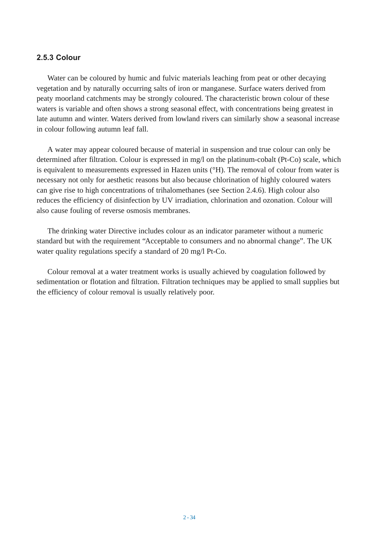## **2.5.3 Colour**

Water can be coloured by humic and fulvic materials leaching from peat or other decaying vegetation and by naturally occurring salts of iron or manganese. Surface waters derived from peaty moorland catchments may be strongly coloured. The characteristic brown colour of these waters is variable and often shows a strong seasonal effect, with concentrations being greatest in late autumn and winter. Waters derived from lowland rivers can similarly show a seasonal increase in colour following autumn leaf fall.

A water may appear coloured because of material in suspension and true colour can only be determined after filtration. Colour is expressed in mg/l on the platinum-cobalt (Pt-Co) scale, which is equivalent to measurements expressed in Hazen units (°H). The removal of colour from water is necessary not only for aesthetic reasons but also because chlorination of highly coloured waters can give rise to high concentrations of trihalomethanes (see Section 2.4.6). High colour also reduces the efficiency of disinfection by UV irradiation, chlorination and ozonation. Colour will also cause fouling of reverse osmosis membranes.

The drinking water Directive includes colour as an indicator parameter without a numeric standard but with the requirement "Acceptable to consumers and no abnormal change". The UK water quality regulations specify a standard of 20 mg/l Pt-Co.

Colour removal at a water treatment works is usually achieved by coagulation followed by sedimentation or flotation and filtration. Filtration techniques may be applied to small supplies but the efficiency of colour removal is usually relatively poor.